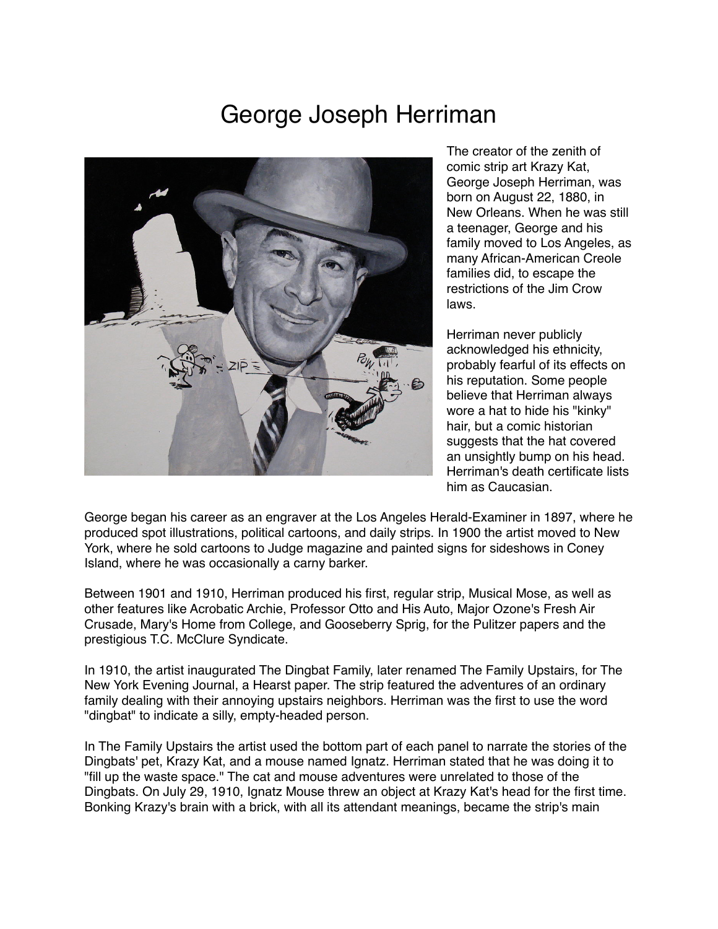## George Joseph Herriman



The creator of the zenith of comic strip art Krazy Kat, George Joseph Herriman, was born on August 22, 1880, in New Orleans. When he was still a teenager, George and his family moved to Los Angeles, as many African-American Creole families did, to escape the restrictions of the Jim Crow laws.

Herriman never publicly acknowledged his ethnicity, probably fearful of its effects on his reputation. Some people believe that Herriman always wore a hat to hide his "kinky" hair, but a comic historian suggests that the hat covered an unsightly bump on his head. Herriman's death certificate lists him as Caucasian.

George began his career as an engraver at the Los Angeles Herald-Examiner in 1897, where he produced spot illustrations, political cartoons, and daily strips. In 1900 the artist moved to New York, where he sold cartoons to Judge magazine and painted signs for sideshows in Coney Island, where he was occasionally a carny barker.

Between 1901 and 1910, Herriman produced his first, regular strip, Musical Mose, as well as other features like Acrobatic Archie, Professor Otto and His Auto, Major Ozone's Fresh Air Crusade, Mary's Home from College, and Gooseberry Sprig, for the Pulitzer papers and the prestigious T.C. McClure Syndicate.

In 1910, the artist inaugurated The Dingbat Family, later renamed The Family Upstairs, for The New York Evening Journal, a Hearst paper. The strip featured the adventures of an ordinary family dealing with their annoying upstairs neighbors. Herriman was the first to use the word "dingbat" to indicate a silly, empty-headed person.

In The Family Upstairs the artist used the bottom part of each panel to narrate the stories of the Dingbats' pet, Krazy Kat, and a mouse named Ignatz. Herriman stated that he was doing it to "fill up the waste space." The cat and mouse adventures were unrelated to those of the Dingbats. On July 29, 1910, Ignatz Mouse threw an object at Krazy Kat's head for the first time. Bonking Krazy's brain with a brick, with all its attendant meanings, became the strip's main